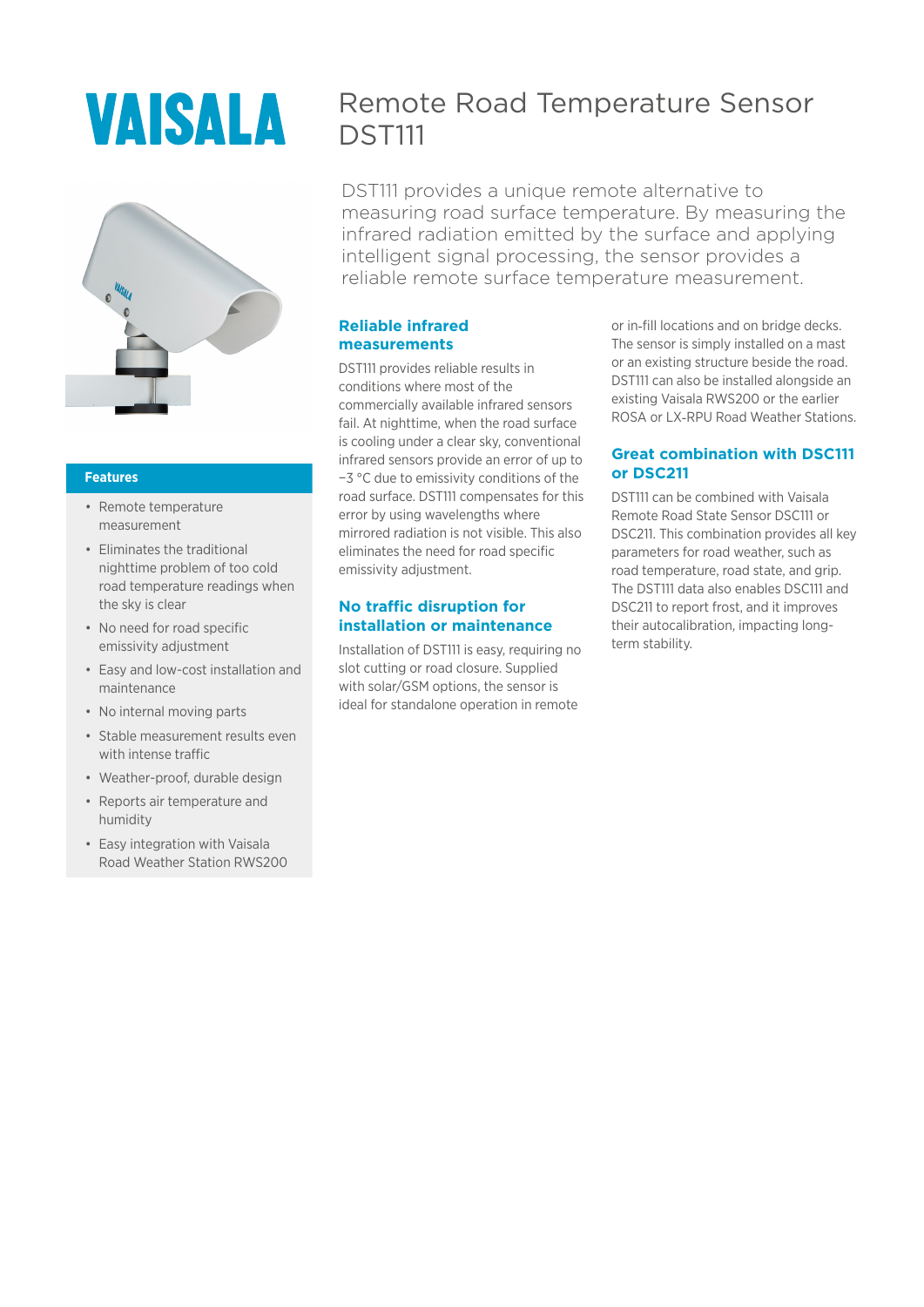# VAISALA



#### **Features**

- Remote temperature measurement
- Eliminates the traditional nighttime problem of too cold road temperature readings when the sky is clear
- No need for road specific emissivity adjustment
- Easy and low-cost installation and maintenance
- No internal moving parts
- Stable measurement results even with intense traffic
- Weather-proof, durable design
- Reports air temperature and humidity
- Easy integration with Vaisala Road Weather Station RWS200

# Remote Road Temperature Sensor **DST111**

DST111 provides a unique remote alternative to measuring road surface temperature. By measuring the infrared radiation emitted by the surface and applying intelligent signal processing, the sensor provides a reliable remote surface temperature measurement.

# **Reliable infrared measurements**

DST111 provides reliable results in conditions where most of the commercially available infrared sensors fail. At nighttime, when the road surface is cooling under a clear sky, conventional infrared sensors provide an error of up to −3 °C due to emissivity conditions of the road surface. DST111 compensates for this error by using wavelengths where mirrored radiation is not visible. This also eliminates the need for road specific emissivity adjustment.

# **No traffic disruption for installation or maintenance**

Installation of DST111 is easy, requiring no slot cutting or road closure. Supplied with solar/GSM options, the sensor is ideal for standalone operation in remote

or in-fill locations and on bridge decks. The sensor is simply installed on a mast or an existing structure beside the road. DST111 can also be installed alongside an existing Vaisala RWS200 or the earlier ROSA or LX‑RPU Road Weather Stations.

# **Great combination with DSC111 or DSC211**

DST111 can be combined with Vaisala Remote Road State Sensor DSC111 or DSC211. This combination provides all key parameters for road weather, such as road temperature, road state, and grip. The DST111 data also enables DSC111 and DSC211 to report frost, and it improves their autocalibration, impacting longterm stability.